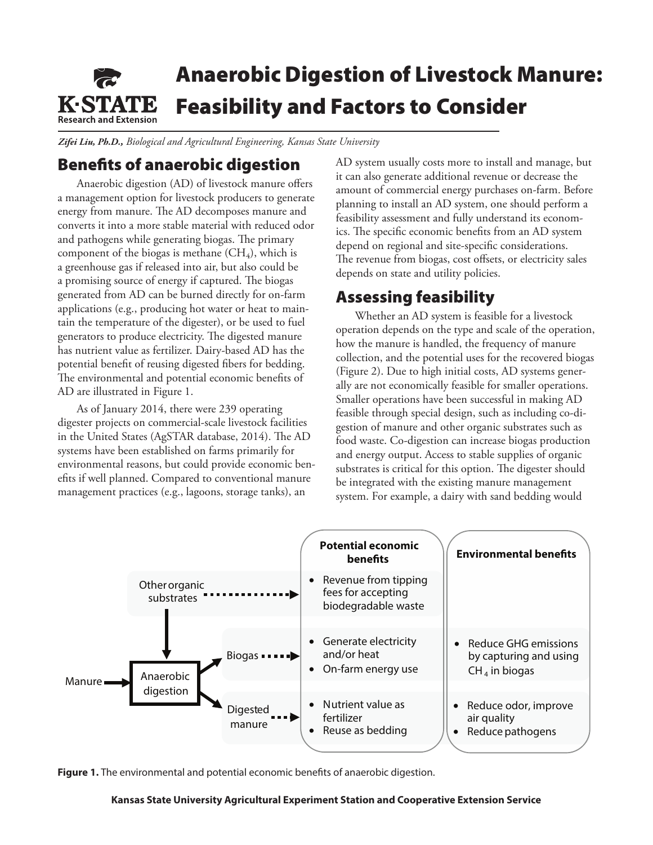

*Zifei Liu, Ph.D., Biological and Agricultural Engineering, Kansas State University*

# Benefits of anaerobic digestion

Anaerobic digestion (AD) of livestock manure offers a management option for livestock producers to generate energy from manure. The AD decomposes manure and converts it into a more stable material with reduced odor and pathogens while generating biogas. The primary component of the biogas is methane  $(CH_4)$ , which is a greenhouse gas if released into air, but also could be a promising source of energy if captured. The biogas generated from AD can be burned directly for on-farm applications (e.g., producing hot water or heat to maintain the temperature of the digester), or be used to fuel generators to produce electricity. The digested manure has nutrient value as fertilizer. Dairy-based AD has the potential benefit of reusing digested fibers for bedding. The environmental and potential economic benefits of AD are illustrated in Figure 1.

As of January 2014, there were 239 operating digester projects on commercial-scale livestock facilities in the United States (AgSTAR database, 2014). The AD systems have been established on farms primarily for environmental reasons, but could provide economic benefits if well planned. Compared to conventional manure management practices (e.g., lagoons, storage tanks), an

AD system usually costs more to install and manage, but it can also generate additional revenue or decrease the amount of commercial energy purchases on-farm. Before planning to install an AD system, one should perform a feasibility assessment and fully understand its economics. The specific economic benefits from an AD system depend on regional and site-specific considerations. The revenue from biogas, cost offsets, or electricity sales depends on state and utility policies.

### Assessing feasibility

Whether an AD system is feasible for a livestock operation depends on the type and scale of the operation, how the manure is handled, the frequency of manure collection, and the potential uses for the recovered biogas (Figure 2). Due to high initial costs, AD systems generally are not economically feasible for smaller operations. Smaller operations have been successful in making AD feasible through special design, such as including co-digestion of manure and other organic substrates such as food waste. Co-digestion can increase biogas production and energy output. Access to stable supplies of organic substrates is critical for this option. The digester should be integrated with the existing manure management system. For example, a dairy with sand bedding would



**Figure 1.** The environmental and potential economic benefits of anaerobic digestion.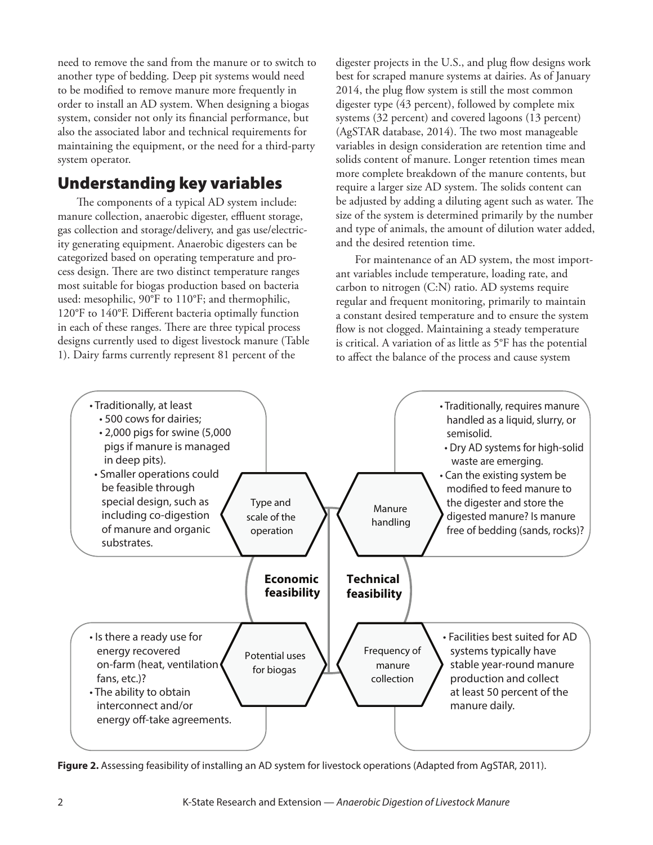need to remove the sand from the manure or to switch to another type of bedding. Deep pit systems would need to be modified to remove manure more frequently in order to install an AD system. When designing a biogas system, consider not only its financial performance, but also the associated labor and technical requirements for maintaining the equipment, or the need for a third-party system operator.

# Understanding key variables

The components of a typical AD system include: manure collection, anaerobic digester, effluent storage, gas collection and storage/delivery, and gas use/electricity generating equipment. Anaerobic digesters can be categorized based on operating temperature and process design. There are two distinct temperature ranges most suitable for biogas production based on bacteria used: mesophilic, 90°F to 110°F; and thermophilic, 120°F to 140°F. Different bacteria optimally function in each of these ranges. There are three typical process designs currently used to digest livestock manure (Table 1). Dairy farms currently represent 81 percent of the

digester projects in the U.S., and plug flow designs work best for scraped manure systems at dairies. As of January 2014, the plug flow system is still the most common digester type (43 percent), followed by complete mix systems (32 percent) and covered lagoons (13 percent) (AgSTAR database, 2014). The two most manageable variables in design consideration are retention time and solids content of manure. Longer retention times mean more complete breakdown of the manure contents, but require a larger size AD system. The solids content can be adjusted by adding a diluting agent such as water. The size of the system is determined primarily by the number and type of animals, the amount of dilution water added, and the desired retention time.

For maintenance of an AD system, the most important variables include temperature, loading rate, and carbon to nitrogen (C:N) ratio. AD systems require regular and frequent monitoring, primarily to maintain a constant desired temperature and to ensure the system flow is not clogged. Maintaining a steady temperature is critical. A variation of as little as 5°F has the potential to affect the balance of the process and cause system



**Figure 2.** Assessing feasibility of installing an AD system for livestock operations (Adapted from AgSTAR, 2011).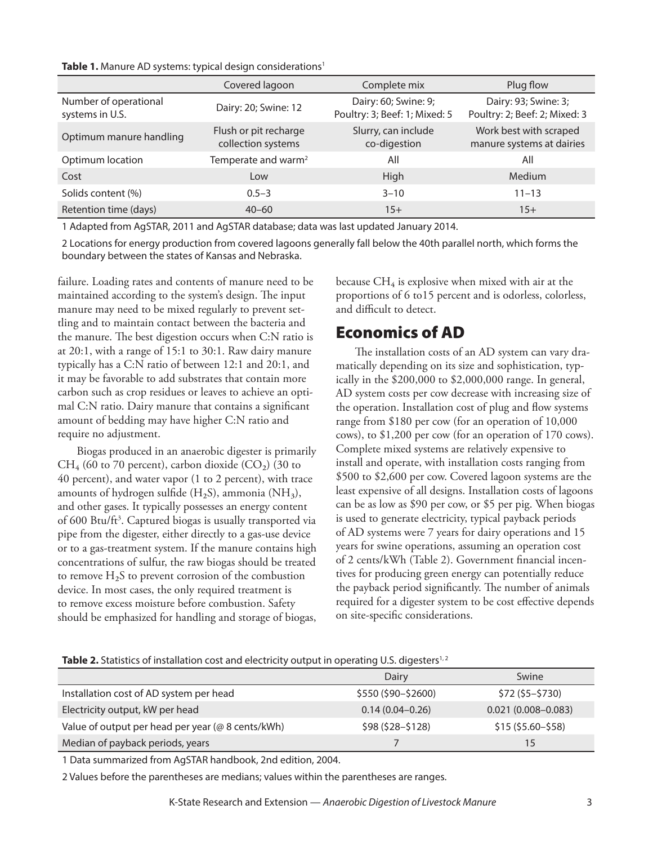#### **Table 1.** Manure AD systems: typical design considerations<sup>1</sup>

|                                          | Covered lagoon                              | Complete mix                                          | Plug flow                                             |
|------------------------------------------|---------------------------------------------|-------------------------------------------------------|-------------------------------------------------------|
| Number of operational<br>systems in U.S. | Dairy: 20; Swine: 12                        | Dairy: 60; Swine: 9;<br>Poultry: 3; Beef: 1; Mixed: 5 | Dairy: 93; Swine: 3;<br>Poultry: 2; Beef: 2; Mixed: 3 |
| Optimum manure handling                  | Flush or pit recharge<br>collection systems | Slurry, can include<br>co-digestion                   | Work best with scraped<br>manure systems at dairies   |
| Optimum location                         | Temperate and warm <sup>2</sup>             | All                                                   | All                                                   |
| Cost                                     | Low                                         | High                                                  | <b>Medium</b>                                         |
| Solids content (%)                       | $0.5 - 3$                                   | $3 - 10$                                              | $11 - 13$                                             |
| Retention time (days)                    | $40 - 60$                                   | $15+$                                                 | $15+$                                                 |

1 Adapted from AgSTAR, 2011 and AgSTAR database; data was last updated January 2014.

2 Locations for energy production from covered lagoons generally fall below the 40th parallel north, which forms the boundary between the states of Kansas and Nebraska.

failure. Loading rates and contents of manure need to be maintained according to the system's design. The input manure may need to be mixed regularly to prevent settling and to maintain contact between the bacteria and the manure. The best digestion occurs when C:N ratio is at 20:1, with a range of 15:1 to 30:1. Raw dairy manure typically has a C:N ratio of between 12:1 and 20:1, and it may be favorable to add substrates that contain more carbon such as crop residues or leaves to achieve an optimal C:N ratio. Dairy manure that contains a significant amount of bedding may have higher C:N ratio and require no adjustment.

Biogas produced in an anaerobic digester is primarily  $CH_4$  (60 to 70 percent), carbon dioxide (CO<sub>2</sub>) (30 to 40 percent), and water vapor (1 to 2 percent), with trace amounts of hydrogen sulfide  $(H_2S)$ , ammonia  $(NH_3)$ , and other gases. It typically possesses an energy content of 600 Btu/ft<sup>3</sup>. Captured biogas is usually transported via pipe from the digester, either directly to a gas-use device or to a gas-treatment system. If the manure contains high concentrations of sulfur, the raw biogas should be treated to remove  $H_2S$  to prevent corrosion of the combustion device. In most cases, the only required treatment is to remove excess moisture before combustion. Safety should be emphasized for handling and storage of biogas,

because  $CH_4$  is explosive when mixed with air at the proportions of 6 to15 percent and is odorless, colorless, and difficult to detect.

# Economics of AD

The installation costs of an AD system can vary dramatically depending on its size and sophistication, typically in the \$200,000 to \$2,000,000 range. In general, AD system costs per cow decrease with increasing size of the operation. Installation cost of plug and flow systems range from \$180 per cow (for an operation of 10,000 cows), to \$1,200 per cow (for an operation of 170 cows). Complete mixed systems are relatively expensive to install and operate, with installation costs ranging from \$500 to \$2,600 per cow. Covered lagoon systems are the least expensive of all designs. Installation costs of lagoons can be as low as \$90 per cow, or \$5 per pig. When biogas is used to generate electricity, typical payback periods of AD systems were 7 years for dairy operations and 15 years for swine operations, assuming an operation cost of 2 cents/kWh (Table 2). Government financial incentives for producing green energy can potentially reduce the payback period significantly. The number of animals required for a digester system to be cost effective depends on site-specific considerations.

#### Table 2. Statistics of installation cost and electricity output in operating U.S. digesters<sup>1,2</sup>

|                                                   | Dairy                | Swine                  |
|---------------------------------------------------|----------------------|------------------------|
| Installation cost of AD system per head           | $$550 ($90 - $2600)$ | $$72 ($5-$730)$        |
| Electricity output, kW per head                   | $0.14(0.04 - 0.26)$  | $0.021(0.008 - 0.083)$ |
| Value of output per head per year (@ 8 cents/kWh) | $$98 ($28 - $128)$   | $$15($5.60-$58)$       |
| Median of payback periods, years                  |                      | 15                     |

1 Data summarized from AgSTAR handbook, 2nd edition, 2004.

2 Values before the parentheses are medians; values within the parentheses are ranges.